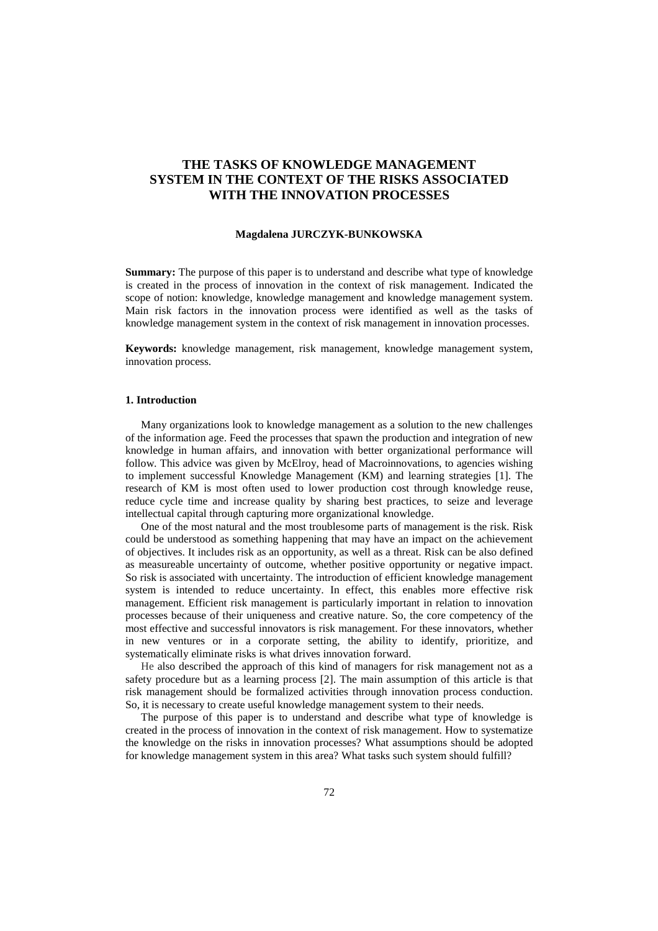# **THE TASKS OF KNOWLEDGE MANAGEMENT SYSTEM IN THE CONTEXT OF THE RISKS ASSOCIATED WITH THE INNOVATION PROCESSES**

### **Magdalena JURCZYK-BUNKOWSKA**

**Summary:** The purpose of this paper is to understand and describe what type of knowledge is created in the process of innovation in the context of risk management. Indicated the scope of notion: knowledge, knowledge management and knowledge management system. Main risk factors in the innovation process were identified as well as the tasks of knowledge management system in the context of risk management in innovation processes.

**Keywords:** knowledge management, risk management, knowledge management system, innovation process.

#### **1. Introduction**

Many organizations look to knowledge management as a solution to the new challenges of the information age. Feed the processes that spawn the production and integration of new knowledge in human affairs, and innovation with better organizational performance will follow. This advice was given by McElroy, head of Macroinnovations, to agencies wishing to implement successful Knowledge Management (KM) and learning strategies [1]. The research of KM is most often used to lower production cost through knowledge reuse, reduce cycle time and increase quality by sharing best practices, to seize and leverage intellectual capital through capturing more organizational knowledge.

One of the most natural and the most troublesome parts of management is the risk. Risk could be understood as something happening that may have an impact on the achievement of objectives. It includes risk as an opportunity, as well as a threat. Risk can be also defined as measureable uncertainty of outcome, whether positive opportunity or negative impact. So risk is associated with uncertainty. The introduction of efficient knowledge management system is intended to reduce uncertainty. In effect, this enables more effective risk management. Efficient risk management is particularly important in relation to innovation processes because of their uniqueness and creative nature. So, the core competency of the most effective and successful innovators is risk management. For these innovators, whether in new ventures or in a corporate setting, the ability to identify, prioritize, and systematically eliminate risks is what drives innovation forward.

He also described the approach of this kind of managers for risk management not as a safety procedure but as a learning process [2]. The main assumption of this article is that risk management should be formalized activities through innovation process conduction. So, it is necessary to create useful knowledge management system to their needs.

The purpose of this paper is to understand and describe what type of knowledge is created in the process of innovation in the context of risk management. How to systematize the knowledge on the risks in innovation processes? What assumptions should be adopted for knowledge management system in this area? What tasks such system should fulfill?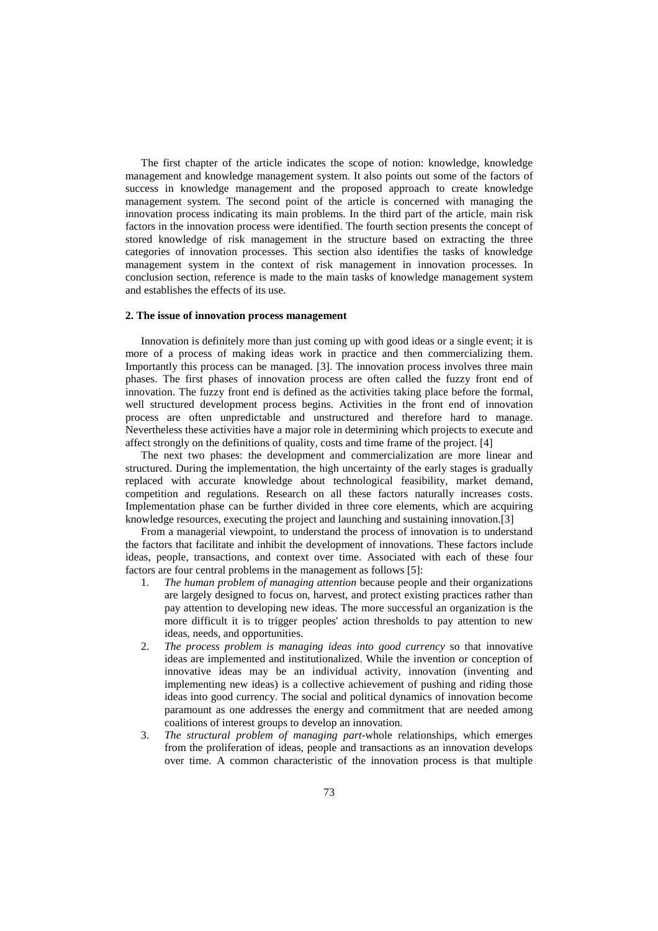The first chapter of the article indicates the scope of notion: knowledge, knowledge management and knowledge management system. It also points out some of the factors of success in knowledge management and the proposed approach to create knowledge management system. The second point of the article is concerned with managing the innovation process indicating its main problems. In the third part of the article, main risk factors in the innovation process were identified. The fourth section presents the concept of stored knowledge of risk management in the structure based on extracting the three categories of innovation processes. This section also identifies the tasks of knowledge management system in the context of risk management in innovation processes. In conclusion section, reference is made to the main tasks of knowledge management system and establishes the effects of its use.

#### **2. The issue of innovation process management**

Innovation is definitely more than just coming up with good ideas or a single event; it is more of a process of making ideas work in practice and then commercializing them. Importantly this process can be managed. [3]. The innovation process involves three main phases. The first phases of innovation process are often called the fuzzy front end of innovation. The fuzzy front end is defined as the activities taking place before the formal, well structured development process begins. Activities in the front end of innovation process are often unpredictable and unstructured and therefore hard to manage. Nevertheless these activities have a major role in determining which projects to execute and affect strongly on the definitions of quality, costs and time frame of the project. [4]

The next two phases: the development and commercialization are more linear and structured. During the implementation, the high uncertainty of the early stages is gradually replaced with accurate knowledge about technological feasibility, market demand, competition and regulations. Research on all these factors naturally increases costs. Implementation phase can be further divided in three core elements, which are acquiring knowledge resources, executing the project and launching and sustaining innovation.[3]

From a managerial viewpoint, to understand the process of innovation is to understand the factors that facilitate and inhibit the development of innovations. These factors include ideas, people, transactions, and context over time. Associated with each of these four factors are four central problems in the management as follows [5]:

- 1. *The human problem of managing attention* because people and their organizations are largely designed to focus on, harvest, and protect existing practices rather than pay attention to developing new ideas. The more successful an organization is the more difficult it is to trigger peoples' action thresholds to pay attention to new ideas, needs, and opportunities.
- 2. *The process problem is managing ideas into good currency* so that innovative ideas are implemented and institutionalized. While the invention or conception of innovative ideas may be an individual activity, innovation (inventing and implementing new ideas) is a collective achievement of pushing and riding those ideas into good currency. The social and political dynamics of innovation become paramount as one addresses the energy and commitment that are needed among coalitions of interest groups to develop an innovation.
- 3. *The structural problem of managing part*-whole relationships, which emerges from the proliferation of ideas, people and transactions as an innovation develops over time. A common characteristic of the innovation process is that multiple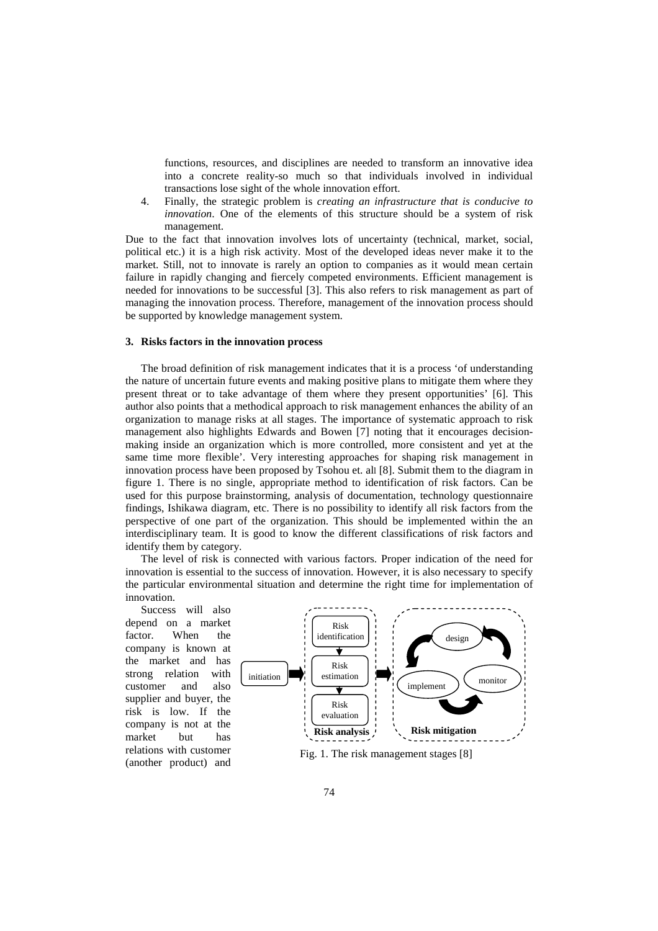functions, resources, and disciplines are needed to transform an innovative idea into a concrete reality-so much so that individuals involved in individual transactions lose sight of the whole innovation effort.

4. Finally, the strategic problem is *creating an infrastructure that is conducive to innovation*. One of the elements of this structure should be a system of risk management.

Due to the fact that innovation involves lots of uncertainty (technical, market, social, political etc.) it is a high risk activity. Most of the developed ideas never make it to the market. Still, not to innovate is rarely an option to companies as it would mean certain failure in rapidly changing and fiercely competed environments. Efficient management is needed for innovations to be successful [3]. This also refers to risk management as part of managing the innovation process. Therefore, management of the innovation process should be supported by knowledge management system.

#### **3. Risks factors in the innovation process**

The broad definition of risk management indicates that it is a process 'of understanding the nature of uncertain future events and making positive plans to mitigate them where they present threat or to take advantage of them where they present opportunities' [6]. This author also points that a methodical approach to risk management enhances the ability of an organization to manage risks at all stages. The importance of systematic approach to risk management also highlights Edwards and Bowen [7] noting that it encourages decisionmaking inside an organization which is more controlled, more consistent and yet at the same time more flexible'. Very interesting approaches for shaping risk management in innovation process have been proposed by Tsohou et. all [8]. Submit them to the diagram in figure 1. There is no single, appropriate method to identification of risk factors. Can be used for this purpose brainstorming, analysis of documentation, technology questionnaire findings, Ishikawa diagram, etc. There is no possibility to identify all risk factors from the perspective of one part of the organization. This should be implemented within the an interdisciplinary team. It is good to know the different classifications of risk factors and identify them by category.

The level of risk is connected with various factors. Proper indication of the need for innovation is essential to the success of innovation. However, it is also necessary to specify the particular environmental situation and determine the right time for implementation of innovation.

Success will also depend on a market factor. When the company is known at the market and has strong relation with customer and also supplier and buyer, the risk is low. If the company is not at the market but has relations with customer (another product) and



Fig. 1. The risk management stages [8]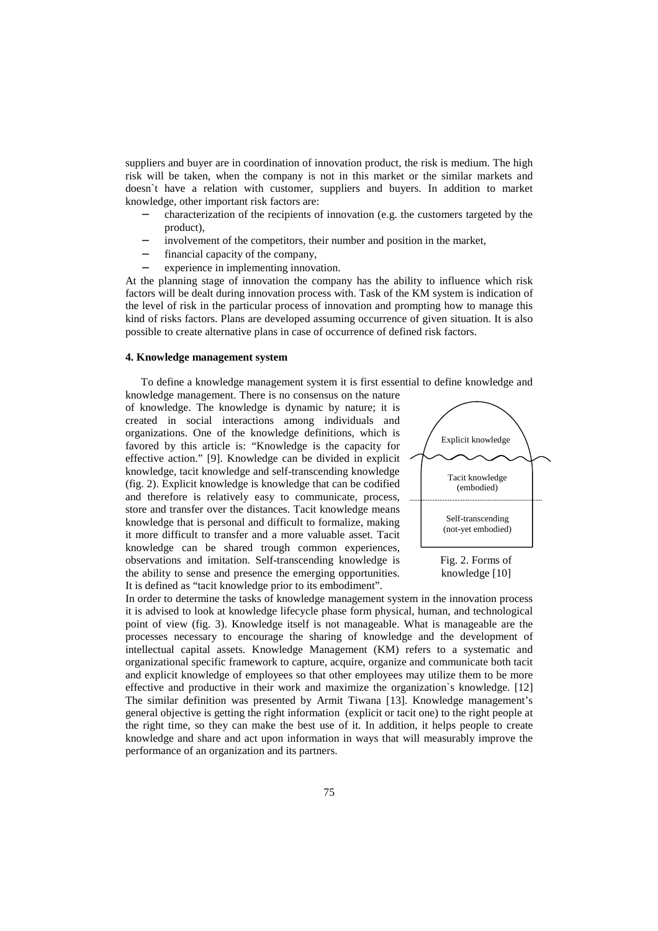suppliers and buyer are in coordination of innovation product, the risk is medium. The high risk will be taken, when the company is not in this market or the similar markets and doesn`t have a relation with customer, suppliers and buyers. In addition to market knowledge, other important risk factors are:

- − characterization of the recipients of innovation (e.g. the customers targeted by the product),
- involvement of the competitors, their number and position in the market,
- financial capacity of the company,
- experience in implementing innovation.

At the planning stage of innovation the company has the ability to influence which risk factors will be dealt during innovation process with. Task of the KM system is indication of the level of risk in the particular process of innovation and prompting how to manage this kind of risks factors. Plans are developed assuming occurrence of given situation. It is also possible to create alternative plans in case of occurrence of defined risk factors.

### **4. Knowledge management system**

To define a knowledge management system it is first essential to define knowledge and

knowledge management. There is no consensus on the nature of knowledge. The knowledge is dynamic by nature; it is created in social interactions among individuals and organizations. One of the knowledge definitions, which is favored by this article is: "Knowledge is the capacity for effective action." [9]. Knowledge can be divided in explicit knowledge, tacit knowledge and self-transcending knowledge (fig. 2). Explicit knowledge is knowledge that can be codified and therefore is relatively easy to communicate, process, store and transfer over the distances. Tacit knowledge means knowledge that is personal and difficult to formalize, making it more difficult to transfer and a more valuable asset. Tacit knowledge can be shared trough common experiences, observations and imitation. Self-transcending knowledge is the ability to sense and presence the emerging opportunities. It is defined as "tacit knowledge prior to its embodiment".



knowledge [10]

In order to determine the tasks of knowledge management system in the innovation process it is advised to look at knowledge lifecycle phase form physical, human, and technological point of view (fig. 3). Knowledge itself is not manageable. What is manageable are the processes necessary to encourage the sharing of knowledge and the development of intellectual capital assets. Knowledge Management (KM) refers to a systematic and organizational specific framework to capture, acquire, organize and communicate both tacit and explicit knowledge of employees so that other employees may utilize them to be more effective and productive in their work and maximize the organization`s knowledge. [12] The similar definition was presented by Armit Tiwana [13]. Knowledge management's general objective is getting the right information (explicit or tacit one) to the right people at the right time, so they can make the best use of it. In addition, it helps people to create knowledge and share and act upon information in ways that will measurably improve the performance of an organization and its partners.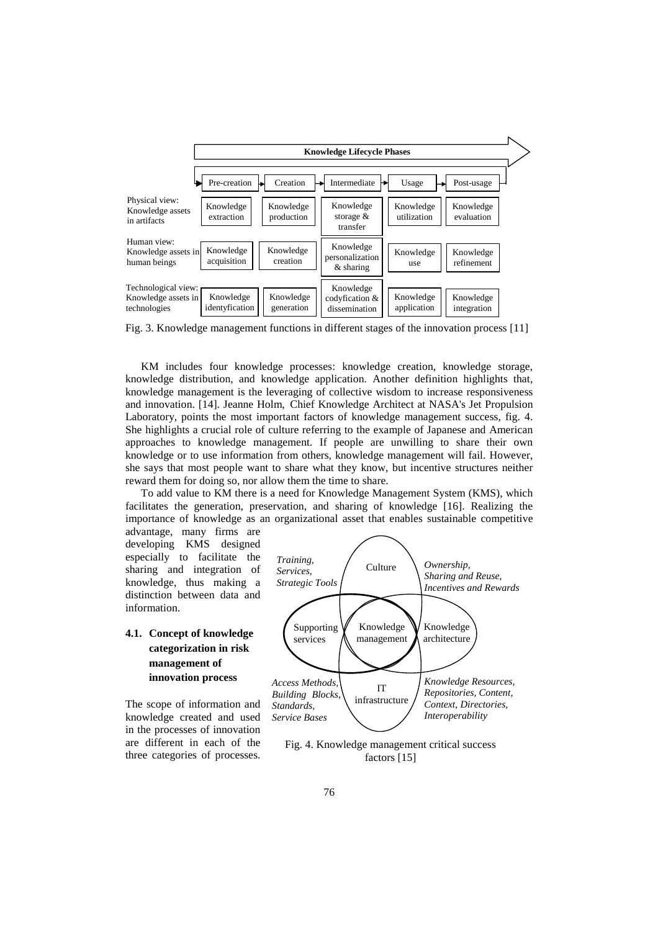

Fig. 3. Knowledge management functions in different stages of the innovation process [11]

KM includes four knowledge processes: knowledge creation, knowledge storage, knowledge distribution, and knowledge application. Another definition highlights that, knowledge management is the leveraging of collective wisdom to increase responsiveness and innovation. [14]. Jeanne Holm, Chief Knowledge Architect at NASA's Jet Propulsion Laboratory, points the most important factors of knowledge management success, fig. 4. She highlights a crucial role of culture referring to the example of Japanese and American approaches to knowledge management. If people are unwilling to share their own knowledge or to use information from others, knowledge management will fail. However, she says that most people want to share what they know, but incentive structures neither reward them for doing so, nor allow them the time to share.

To add value to KM there is a need for Knowledge Management System (KMS), which facilitates the generation, preservation, and sharing of knowledge [16]. Realizing the importance of knowledge as an organizational asset that enables sustainable competitive

advantage, many firms are developing KMS designed especially to facilitate the sharing and integration of knowledge, thus making a distinction between data and information.

## **4.1. Concept of knowledge categorization in risk management of innovation process**

The scope of information and knowledge created and used in the processes of innovation are different in each of the three categories of processes.



Fig. 4. Knowledge management critical success factors [15]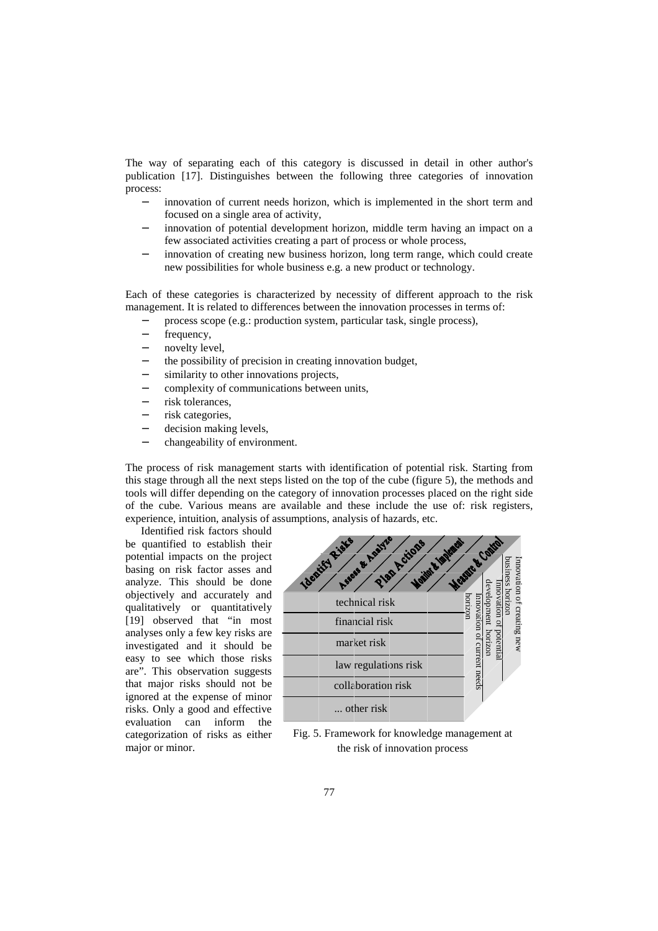The way of separating each of this category is discussed in detail in other author's publication [17]. Distinguishes between the following three categories of innovation process:

- innovation of current needs horizon, which is implemented in the short term and focused on a single area of activity,
- innovation of potential development horizon, middle term having an impact on a few associated activities creating a part of process or whole process,
- innovation of creating new business horizon, long term range, which could create new possibilities for whole business e.g. a new product or technology.

Each of these categories is characterized by necessity of different approach to the risk management. It is related to differences between the innovation processes in terms of:

- process scope (e.g.: production system, particular task, single process),
- − frequency,
- novelty level.
- the possibility of precision in creating innovation budget,
- similarity to other innovations projects,
- − complexity of communications between units,
- risk tolerances.
- risk categories,
- decision making levels,
- − changeability of environment.

The process of risk management starts with identification of potential risk. Starting from this stage through all the next steps listed on the top of the cube (figure 5), the methods and tools will differ depending on the category of innovation processes placed on the right side of the cube. Various means are available and these include the use of: risk registers, experience, intuition, analysis of assumptions, analysis of hazards, etc.

Identified risk factors should

be quantified to establish their potential impacts on the project basing on risk factor asses and analyze. This should be done objectively and accurately and qualitatively or quantitatively [19] observed that "in most analyses only a few key risks are investigated and it should be easy to see which those risks are". This observation suggests that major risks should not be ignored at the expense of minor risks. Only a good and effective evaluation can inform the categorization of risks as either major or minor.



Fig. 5. Framework for knowledge management at the risk of innovation process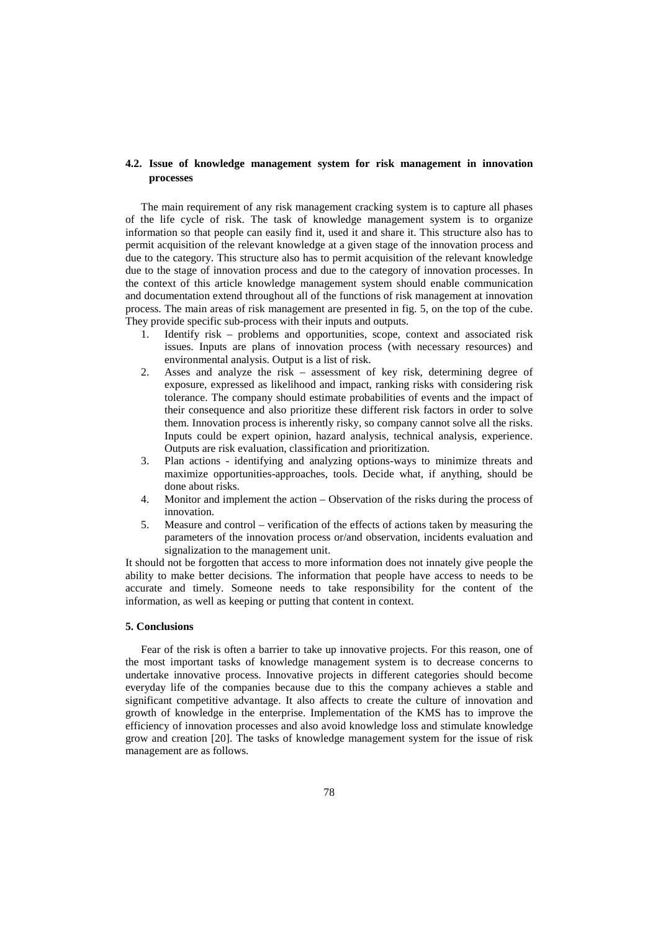### **4.2. Issue of knowledge management system for risk management in innovation processes**

The main requirement of any risk management cracking system is to capture all phases of the life cycle of risk. The task of knowledge management system is to organize information so that people can easily find it, used it and share it. This structure also has to permit acquisition of the relevant knowledge at a given stage of the innovation process and due to the category. This structure also has to permit acquisition of the relevant knowledge due to the stage of innovation process and due to the category of innovation processes. In the context of this article knowledge management system should enable communication and documentation extend throughout all of the functions of risk management at innovation process. The main areas of risk management are presented in fig. 5, on the top of the cube. They provide specific sub-process with their inputs and outputs.

- 1. Identify risk problems and opportunities, scope, context and associated risk issues. Inputs are plans of innovation process (with necessary resources) and environmental analysis. Output is a list of risk.
- 2. Asses and analyze the risk assessment of key risk, determining degree of exposure, expressed as likelihood and impact, ranking risks with considering risk tolerance. The company should estimate probabilities of events and the impact of their consequence and also prioritize these different risk factors in order to solve them. Innovation process is inherently risky, so company cannot solve all the risks. Inputs could be expert opinion, hazard analysis, technical analysis, experience. Outputs are risk evaluation, classification and prioritization.
- 3. Plan actions identifying and analyzing options-ways to minimize threats and maximize opportunities-approaches, tools. Decide what, if anything, should be done about risks.
- 4. Monitor and implement the action Observation of the risks during the process of innovation.
- 5. Measure and control verification of the effects of actions taken by measuring the parameters of the innovation process or/and observation, incidents evaluation and signalization to the management unit.

It should not be forgotten that access to more information does not innately give people the ability to make better decisions. The information that people have access to needs to be accurate and timely. Someone needs to take responsibility for the content of the information, as well as keeping or putting that content in context.

### **5. Conclusions**

Fear of the risk is often a barrier to take up innovative projects. For this reason, one of the most important tasks of knowledge management system is to decrease concerns to undertake innovative process. Innovative projects in different categories should become everyday life of the companies because due to this the company achieves a stable and significant competitive advantage. It also affects to create the culture of innovation and growth of knowledge in the enterprise. Implementation of the KMS has to improve the efficiency of innovation processes and also avoid knowledge loss and stimulate knowledge grow and creation [20]. The tasks of knowledge management system for the issue of risk management are as follows.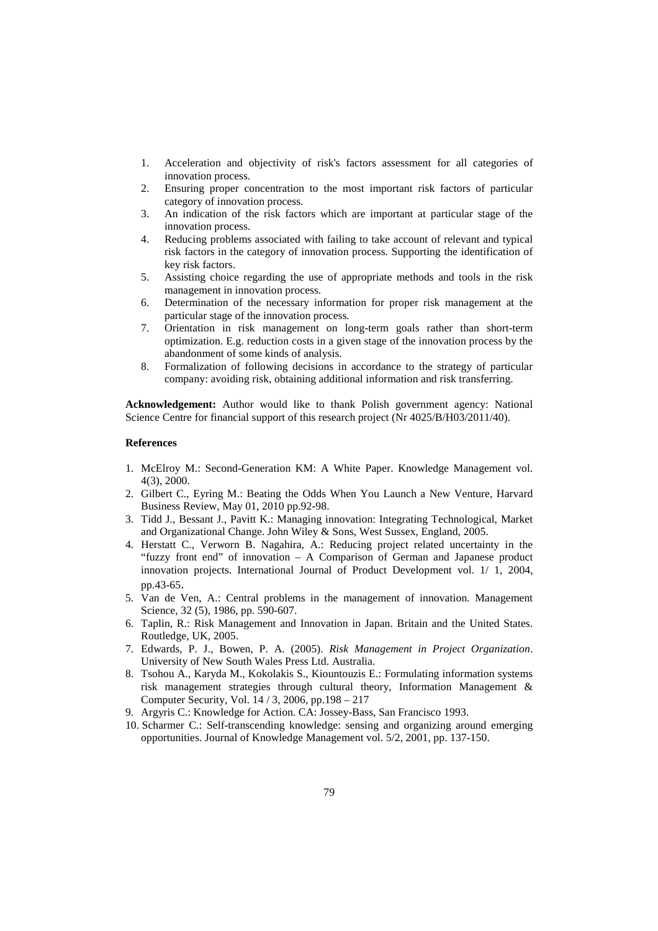- 1. Acceleration and objectivity of risk's factors assessment for all categories of innovation process.
- 2. Ensuring proper concentration to the most important risk factors of particular category of innovation process.
- 3. An indication of the risk factors which are important at particular stage of the innovation process.
- 4. Reducing problems associated with failing to take account of relevant and typical risk factors in the category of innovation process. Supporting the identification of key risk factors.
- 5. Assisting choice regarding the use of appropriate methods and tools in the risk management in innovation process.
- 6. Determination of the necessary information for proper risk management at the particular stage of the innovation process.
- 7. Orientation in risk management on long-term goals rather than short-term optimization. E.g. reduction costs in a given stage of the innovation process by the abandonment of some kinds of analysis.
- 8. Formalization of following decisions in accordance to the strategy of particular company: avoiding risk, obtaining additional information and risk transferring.

**Acknowledgement:** Author would like to thank Polish government agency: National Science Centre for financial support of this research project (Nr 4025/B/H03/2011/40).

### **References**

- 1. McElroy M.: Second-Generation KM: A White Paper. Knowledge Management vol. 4(3), 2000.
- 2. Gilbert C., Eyring M.: Beating the Odds When You Launch a New Venture, Harvard Business Review, May 01, 2010 pp.92-98.
- 3. Tidd J., Bessant J., Pavitt K.: Managing innovation: Integrating Technological, Market and Organizational Change. John Wiley & Sons, West Sussex, England, 2005.
- 4. Herstatt C., Verworn B. Nagahira, A.: Reducing project related uncertainty in the "fuzzy front end" of innovation – A Comparison of German and Japanese product innovation projects. International Journal of Product Development vol. 1/ 1, 2004, pp.43-65.
- 5. Van de Ven, A.: Central problems in the management of innovation. Management Science, 32 (5), 1986, pp. 590-607.
- 6. Taplin, R.: Risk Management and Innovation in Japan. Britain and the United States. Routledge, UK, 2005.
- 7. Edwards, P. J., Bowen, P. A. (2005). *Risk Management in Project Organization*. University of New South Wales Press Ltd. Australia.
- 8. Tsohou A., Karyda M., Kokolakis S., Kiountouzis E.: Formulating information systems risk management strategies through cultural theory, Information Management & Computer Security, Vol. 14 / 3, 2006, pp.198 – 217
- 9. Argyris C.: Knowledge for Action. CA: Jossey-Bass, San Francisco 1993.
- 10. Scharmer C.: Self-transcending knowledge: sensing and organizing around emerging opportunities. Journal of Knowledge Management vol. 5/2, 2001, pp. 137-150.